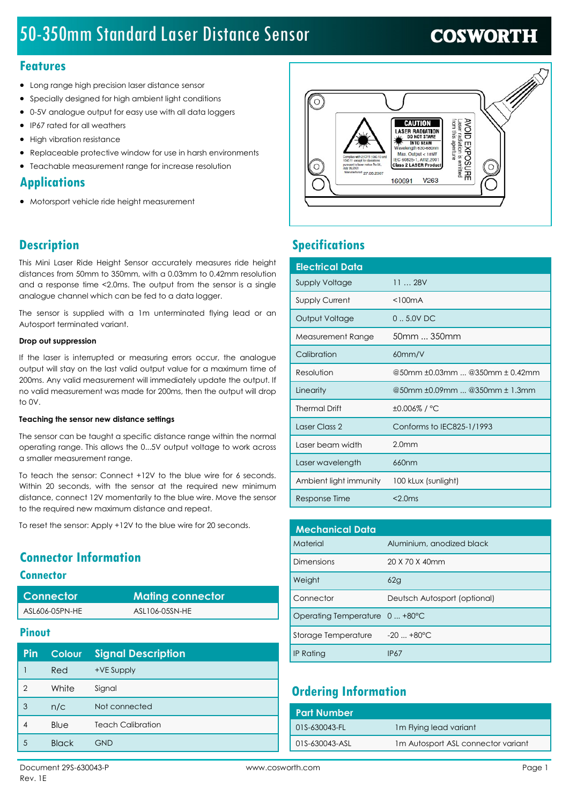# 50-350mm Standard Laser Distance Sensor

# **COSWORTH**

### Features

- · Long range high precision laser distance sensor
- · Specially designed for high ambient light conditions
- · 0-5V analogue output for easy use with all data loggers
- · IP67 rated for all weathers
- · High vibration resistance
- Replaceable protective window for use in harsh environments
- · Teachable measurement range for increase resolution

### **Applications**

· Motorsport vehicle ride height measurement

## **Description**

This Mini Laser Ride Height Sensor accurately measures ride height distances from 50mm to 350mm, with a 0.03mm to 0.42mm resolution and a response time <2.0ms. The output from the sensor is a single analogue channel which can be fed to a data logger.

The sensor is supplied with a 1m unterminated flying lead or an Autosport terminated variant.

#### Drop out suppression

If the laser is interrupted or measuring errors occur, the analogue output will stay on the last valid output value for a maximum time of 200ms. Any valid measurement will immediately update the output. If no valid measurement was made for 200ms, then the output will drop to 0V.

#### Teaching the sensor new distance settings

The sensor can be taught a specific distance range within the normal operating range. This allows the 0...5V output voltage to work across a smaller measurement range.

To teach the sensor: Connect +12V to the blue wire for 6 seconds. Within 20 seconds, with the sensor at the required new minimum distance, connect 12V momentarily to the blue wire. Move the sensor to the required new maximum distance and repeat.

To reset the sensor: Apply +12V to the blue wire for 20 seconds.

## Connector Information

#### **Connector**

| Connector      | <b>Mating connector</b> |
|----------------|-------------------------|
| ASL606-05PN-HE | ASL106-05SN-HE          |

### **Pinout**

| Pin            | <b>Colour</b> | <b>Signal Description</b> |
|----------------|---------------|---------------------------|
|                | <b>Red</b>    | +VE Supply                |
| $\overline{2}$ | White         | Signal                    |
| 3              | n/c           | Not connected             |
|                | Blue          | <b>Teach Calibration</b>  |
| 5              | <b>Black</b>  | <b>GND</b>                |



## **Specifications**

| <b>Electrical Data</b> |                                |
|------------------------|--------------------------------|
| <b>Supply Voltage</b>  | 1128V                          |
| <b>Supply Current</b>  | $<$ 100 $mA$                   |
| Output Voltage         | $0.5.0V$ DC                    |
| Measurement Range      | 50mm  350mm                    |
| Calibration            | 60mm/V                         |
| Resolution             | @50mm ±0.03mm  @350mm ± 0.42mm |
| Linearity              | @50mm ±0.09mm  @350mm ± 1.3mm  |
| <b>Thermal Drift</b>   | ±0.006%/°C                     |
| Laser Class 2          | Conforms to IEC825-1/1993      |
| Laser beam width       | 2.0 <sub>mm</sub>              |
| Laser wavelength       | 660nm                          |
| Ambient light immunity | 100 kLux (sunlight)            |
| Response Time          | $<$ 2.0 $ms$                   |

| <b>Mechanical Data</b>         |                              |  |
|--------------------------------|------------------------------|--|
| Material                       | Aluminium, anodized black    |  |
| Dimensions                     | 20 X 70 X 40mm               |  |
| Weight                         | 62g                          |  |
| Connector                      | Deutsch Autosport (optional) |  |
| Operating Temperature 0  +80°C |                              |  |
| Storage Temperature            | $-20+80^{\circ}C$            |  |
| <b>IP Rating</b>               | IP67                         |  |

## Ordering Information

| <b>Part Number</b> |                                    |
|--------------------|------------------------------------|
| 01S-630043-FL      | 1 <sub>m</sub> Flying lead variant |
| 01S-630043-ASL     | 1m Autosport ASL connector variant |